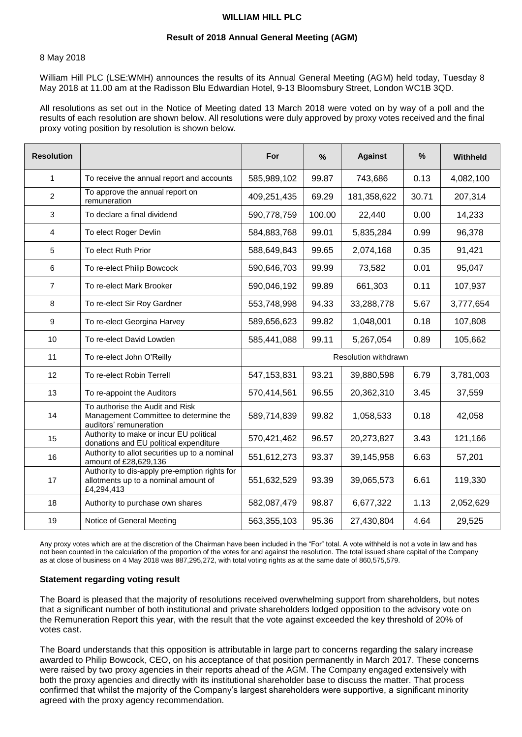## **WILLIAM HILL PLC**

#### **Result of 2018 Annual General Meeting (AGM)**

#### 8 May 2018

William Hill PLC (LSE:WMH) announces the results of its Annual General Meeting (AGM) held today, Tuesday 8 May 2018 at 11.00 am at the Radisson Blu Edwardian Hotel, 9-13 Bloomsbury Street, London WC1B 3QD.

All resolutions as set out in the Notice of Meeting dated 13 March 2018 were voted on by way of a poll and the results of each resolution are shown below. All resolutions were duly approved by proxy votes received and the final proxy voting position by resolution is shown below.

| <b>Resolution</b> |                                                                                                     | For                  | $\%$   | <b>Against</b> | %     | Withheld  |
|-------------------|-----------------------------------------------------------------------------------------------------|----------------------|--------|----------------|-------|-----------|
| $\mathbf{1}$      | To receive the annual report and accounts                                                           | 585,989,102          | 99.87  | 743,686        | 0.13  | 4,082,100 |
| $\overline{2}$    | To approve the annual report on<br>remuneration                                                     | 409,251,435          | 69.29  | 181,358,622    | 30.71 | 207,314   |
| 3                 | To declare a final dividend                                                                         | 590,778,759          | 100.00 | 22,440         | 0.00  | 14,233    |
| 4                 | To elect Roger Devlin                                                                               | 584,883,768          | 99.01  | 5,835,284      | 0.99  | 96,378    |
| 5                 | To elect Ruth Prior                                                                                 | 588,649,843          | 99.65  | 2,074,168      | 0.35  | 91,421    |
| 6                 | To re-elect Philip Bowcock                                                                          | 590,646,703          | 99.99  | 73,582         | 0.01  | 95,047    |
| 7                 | To re-elect Mark Brooker                                                                            | 590,046,192          | 99.89  | 661,303        | 0.11  | 107,937   |
| 8                 | To re-elect Sir Roy Gardner                                                                         | 553,748,998          | 94.33  | 33,288,778     | 5.67  | 3,777,654 |
| 9                 | To re-elect Georgina Harvey                                                                         | 589,656,623          | 99.82  | 1,048,001      | 0.18  | 107,808   |
| 10                | To re-elect David Lowden                                                                            | 585,441,088          | 99.11  | 5,267,054      | 0.89  | 105,662   |
| 11                | To re-elect John O'Reilly                                                                           | Resolution withdrawn |        |                |       |           |
| 12                | To re-elect Robin Terrell                                                                           | 547, 153, 831        | 93.21  | 39,880,598     | 6.79  | 3,781,003 |
| 13                | To re-appoint the Auditors                                                                          | 570,414,561          | 96.55  | 20,362,310     | 3.45  | 37,559    |
| 14                | To authorise the Audit and Risk<br>Management Committee to determine the<br>auditors' remuneration  | 589,714,839          | 99.82  | 1,058,533      | 0.18  | 42,058    |
| 15                | Authority to make or incur EU political<br>donations and EU political expenditure                   | 570,421,462          | 96.57  | 20,273,827     | 3.43  | 121,166   |
| 16                | Authority to allot securities up to a nominal<br>amount of £28,629,136                              | 551,612,273          | 93.37  | 39,145,958     | 6.63  | 57,201    |
| 17                | Authority to dis-apply pre-emption rights for<br>allotments up to a nominal amount of<br>£4,294,413 | 551,632,529          | 93.39  | 39,065,573     | 6.61  | 119,330   |
| 18                | Authority to purchase own shares                                                                    | 582,087,479          | 98.87  | 6,677,322      | 1.13  | 2,052,629 |
| 19                | Notice of General Meeting                                                                           | 563,355,103          | 95.36  | 27,430,804     | 4.64  | 29,525    |

Any proxy votes which are at the discretion of the Chairman have been included in the "For" total. A vote withheld is not a vote in law and has not been counted in the calculation of the proportion of the votes for and against the resolution. The total issued share capital of the Company as at close of business on 4 May 2018 was 887,295,272, with total voting rights as at the same date of 860,575,579.

## **Statement regarding voting result**

The Board is pleased that the majority of resolutions received overwhelming support from shareholders, but notes that a significant number of both institutional and private shareholders lodged opposition to the advisory vote on the Remuneration Report this year, with the result that the vote against exceeded the key threshold of 20% of votes cast.

The Board understands that this opposition is attributable in large part to concerns regarding the salary increase awarded to Philip Bowcock, CEO, on his acceptance of that position permanently in March 2017. These concerns were raised by two proxy agencies in their reports ahead of the AGM. The Company engaged extensively with both the proxy agencies and directly with its institutional shareholder base to discuss the matter. That process confirmed that whilst the majority of the Company's largest shareholders were supportive, a significant minority agreed with the proxy agency recommendation.